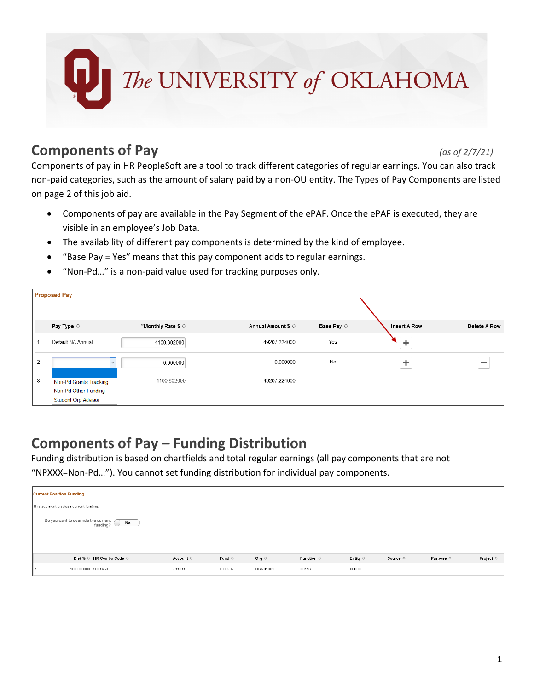

## **Components of Pay** *(as of 2/7/21)*

Components of pay in HR PeopleSoft are a tool to track different categories of regular earnings. You can also track non-paid categories, such as the amount of salary paid by a non-OU entity. The Types of Pay Components are listed on page 2 of this job aid.

- Components of pay are available in the Pay Segment of the ePAF. Once the ePAF is executed, they are visible in an employee's Job Data.
- The availability of different pay components is determined by the kind of employee.
- "Base Pay = Yes" means that this pay component adds to regular earnings.
- "Non-Pd…" is a non-paid value used for tracking purposes only.

|                | <b>Proposed Pay</b>                                                          |                             |                             |                     |                     |              |  |  |
|----------------|------------------------------------------------------------------------------|-----------------------------|-----------------------------|---------------------|---------------------|--------------|--|--|
|                | Pay Type $\diamond$                                                          | *Monthly Rate \$ $\diamond$ | Annual Amount \$ $\diamond$ | Base Pay $\diamond$ | <b>Insert A Row</b> | Delete A Row |  |  |
|                | Default NA Annual                                                            | 4100.602000                 | 49207.224000                | Yes                 |                     |              |  |  |
| $\overline{2}$ |                                                                              | 0.000000                    | 0.000000                    | No                  |                     | $\equiv$     |  |  |
| 3              | Non-Pd Grants Tracking<br>Non-Pd Other Funding<br><b>Student Org Advisor</b> | 4100.602000                 | 49207.224000                |                     |                     |              |  |  |

## **Components of Pay – Funding Distribution**

Funding distribution is based on chartfields and total regular earnings (all pay components that are not "NPXXX=Non-Pd…"). You cannot set funding distribution for individual pay components.

| <b>Current Position Funding</b>        |                                                              |                          |                    |                 |                 |                           |                   |                   |                    |                    |
|----------------------------------------|--------------------------------------------------------------|--------------------------|--------------------|-----------------|-----------------|---------------------------|-------------------|-------------------|--------------------|--------------------|
| This segment displays current funding. |                                                              |                          |                    |                 |                 |                           |                   |                   |                    |                    |
|                                        | Do you want to override the current<br><b>No</b><br>funding? |                          |                    |                 |                 |                           |                   |                   |                    |                    |
|                                        |                                                              |                          |                    |                 |                 |                           |                   |                   |                    |                    |
|                                        |                                                              | Dist % ♡ HR Combo Code ♡ | Account $\diamond$ | Fund $\Diamond$ | Org $\diamond$  | Function $\hat{\diamond}$ | Entity $\Diamond$ | Source $\diamond$ | Purpose $\diamond$ | Project $\diamond$ |
|                                        | 100.000000 5001459                                           |                          | 511011             | EDGEN           | <b>HRN01001</b> | 00116                     | 00000             |                   |                    |                    |